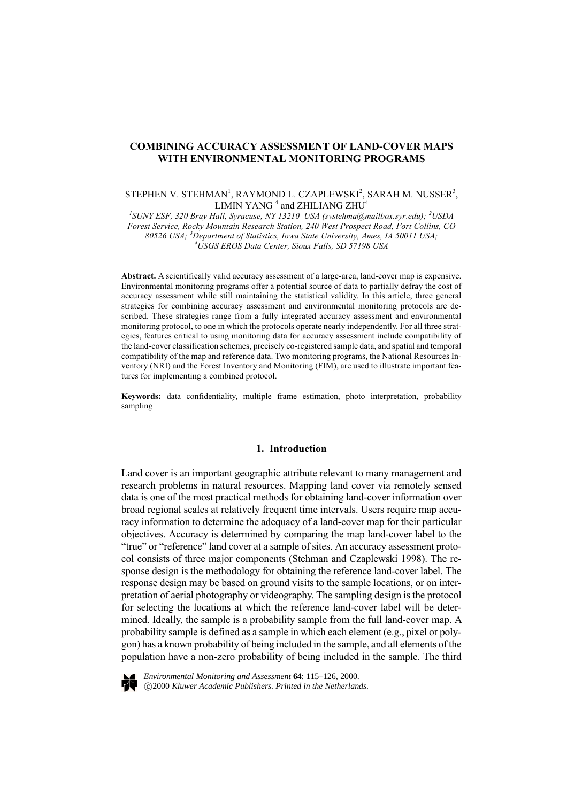## **COMBINING ACCURACY ASSESSMENT OF LAND-COVER MAPS WITH ENVIRONMENTAL MONITORING PROGRAMS**

### STEPHEN V. STEHMAN $^{\rm l}$ , RAYMOND L. CZAPLEWSKI $^{\rm 2}$ , SARAH M. NUSSER $^{\rm 3}$ , LIMIN YANG<sup> $4$ </sup> and ZHILIANG ZHU<sup>4</sup>

*1 SUNY ESF, 320 Bray Hall, Syracuse, NY 13210 USA (svstehma@mailbox.syr.edu); <sup>2</sup> USDA Forest Service, Rocky Mountain Research Station, 240 West Prospect Road, Fort Collins, CO 80526 USA; <sup>3</sup> Department of Statistics, Iowa State University, Ames, IA 50011 USA; 4 USGS EROS Data Center, Sioux Falls, SD 57198 USA*

**Abstract.** A scientifically valid accuracy assessment of a large-area, land-cover map is expensive. Environmental monitoring programs offer a potential source of data to partially defray the cost of accuracy assessment while still maintaining the statistical validity. In this article, three general strategies for combining accuracy assessment and environmental monitoring protocols are described. These strategies range from a fully integrated accuracy assessment and environmental monitoring protocol, to one in which the protocols operate nearly independently. For all three strategies, features critical to using monitoring data for accuracy assessment include compatibility of the land-cover classification schemes, precisely co-registered sample data, and spatial and temporal compatibility of the map and reference data. Two monitoring programs, the National Resources Inventory (NRI) and the Forest Inventory and Monitoring (FIM), are used to illustrate important features for implementing a combined protocol.

**Keywords:** data confidentiality, multiple frame estimation, photo interpretation, probability sampling

#### **1. Introduction**

Land cover is an important geographic attribute relevant to many management and research problems in natural resources. Mapping land cover via remotely sensed data is one of the most practical methods for obtaining land-cover information over broad regional scales at relatively frequent time intervals. Users require map accuracy information to determine the adequacy of a land-cover map for their particular objectives. Accuracy is determined by comparing the map land-cover label to the "true" or "reference" land cover at a sample of sites. An accuracy assessment protocol consists of three major components (Stehman and Czaplewski 1998). The response design is the methodology for obtaining the reference land-cover label. The response design may be based on ground visits to the sample locations, or on interpretation of aerial photography or videography. The sampling design is the protocol for selecting the locations at which the reference land-cover label will be determined. Ideally, the sample is a probability sample from the full land-cover map. A probability sample is defined as a sample in which each element (e.g., pixel or polygon) has a known probability of being included in the sample, and all elements of the population have a non-zero probability of being included in the sample. The third



*Environmental Monitoring and Assessment* **64**: 115–126, 2000. c 2000 *Kluwer Academic Publishers. Printed in the Netherlands.*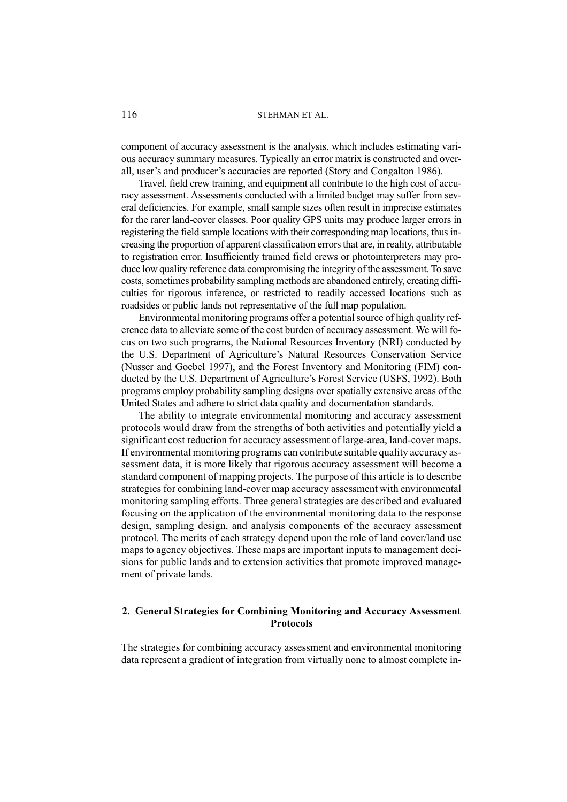component of accuracy assessment is the analysis, which includes estimating various accuracy summary measures. Typically an error matrix is constructed and overall, user's and producer's accuracies are reported (Story and Congalton 1986).

Travel, field crew training, and equipment all contribute to the high cost of accuracy assessment. Assessments conducted with a limited budget may suffer from several deficiencies. For example, small sample sizes often result in imprecise estimates for the rarer land-cover classes. Poor quality GPS units may produce larger errors in registering the field sample locations with their corresponding map locations, thus increasing the proportion of apparent classification errors that are, in reality, attributable to registration error. Insufficiently trained field crews or photointerpreters may produce low quality reference data compromising the integrity of the assessment. To save costs, sometimes probability sampling methods are abandoned entirely, creating difficulties for rigorous inference, or restricted to readily accessed locations such as roadsides or public lands not representative of the full map population.

Environmental monitoring programs offer a potential source of high quality reference data to alleviate some of the cost burden of accuracy assessment. We will focus on two such programs, the National Resources Inventory (NRI) conducted by the U.S. Department of Agriculture's Natural Resources Conservation Service (Nusser and Goebel 1997), and the Forest Inventory and Monitoring (FIM) conducted by the U.S. Department of Agriculture's Forest Service (USFS, 1992). Both programs employ probability sampling designs over spatially extensive areas of the United States and adhere to strict data quality and documentation standards.

The ability to integrate environmental monitoring and accuracy assessment protocols would draw from the strengths of both activities and potentially yield a significant cost reduction for accuracy assessment of large-area, land-cover maps. If environmental monitoring programs can contribute suitable quality accuracy assessment data, it is more likely that rigorous accuracy assessment will become a standard component of mapping projects. The purpose of this article is to describe strategies for combining land-cover map accuracy assessment with environmental monitoring sampling efforts. Three general strategies are described and evaluated focusing on the application of the environmental monitoring data to the response design, sampling design, and analysis components of the accuracy assessment protocol. The merits of each strategy depend upon the role of land cover/land use maps to agency objectives. These maps are important inputs to management decisions for public lands and to extension activities that promote improved management of private lands.

# **2. General Strategies for Combining Monitoring and Accuracy Assessment Protocols**

The strategies for combining accuracy assessment and environmental monitoring data represent a gradient of integration from virtually none to almost complete in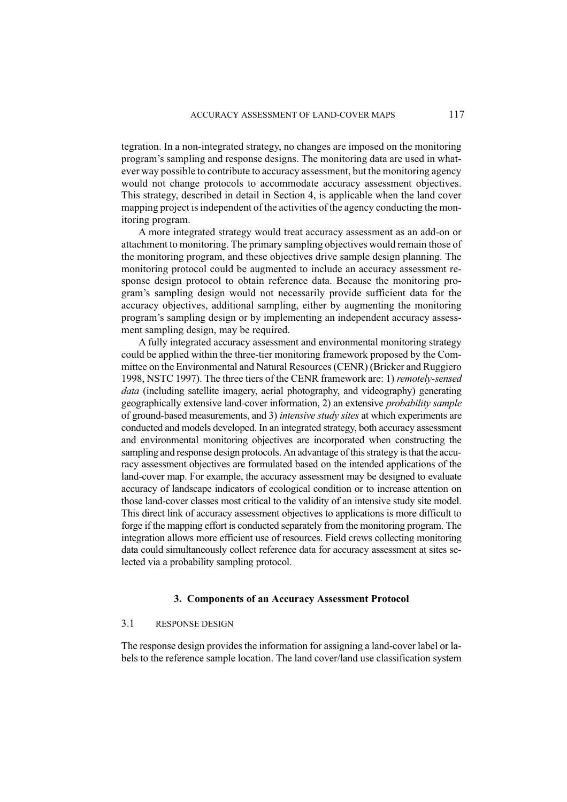tegration. In a non-integrated strategy, no changes are imposed on the monitoring program's sampling and response designs. The monitoring data are used in whatever way possible to contribute to accuracy assessment, but the monitoring agency would not change protocols to accommodate accuracy assessment objectives. This strategy, described in detail in Section 4, is applicable when the land cover mapping project is independent of the activities of the agency conducting the monitoring program.

A more integrated strategy would treat accuracy assessment as an add-on or attachment to monitoring. The primary sampling objectives would remain those of the monitoring program, and these objectives drive sample design planning. The monitoring protocol could be augmented to include an accuracy assessment response design protocol to obtain reference data. Because the monitoring program's sampling design would not necessarily provide sufficient data for the accuracy objectives, additional sampling, either by augmenting the monitoring program's sampling design or by implementing an independent accuracy assessment sampling design, may be required.

A fully integrated accuracy assessment and environmental monitoring strategy could be applied within the three-tier monitoring framework proposed by the Committee on the Environmental and Natural Resources (CENR) (Bricker and Ruggiero 1998, NSTC 1997). The three tiers of the CENR framework are: 1) *remotely-sensed data* (including satellite imagery, aerial photography, and videography) generating geographically extensive land-cover information, 2) an extensive *probability sample* of ground-based measurements, and 3) *intensive study sites* at which experiments are conducted and models developed. In an integrated strategy, both accuracy assessment and environmental monitoring objectives are incorporated when constructing the sampling and response design protocols. An advantage of this strategy is that the accuracy assessment objectives are formulated based on the intended applications of the land-cover map. For example, the accuracy assessment may be designed to evaluate accuracy of landscape indicators of ecological condition or to increase attention on those land-cover classes most critical to the validity of an intensive study site model. This direct link of accuracy assessment objectives to applications is more difficult to forge if the mapping effort is conducted separately from the monitoring program. The integration allows more efficient use of resources. Field crews collecting monitoring data could simultaneously collect reference data for accuracy assessment at sites selected via a probability sampling protocol.

#### **3. Components of an Accuracy Assessment Protocol**

## 3.1 RESPONSE DESIGN

The response design provides the information for assigning a land-cover label or labels to the reference sample location. The land cover/land use classification system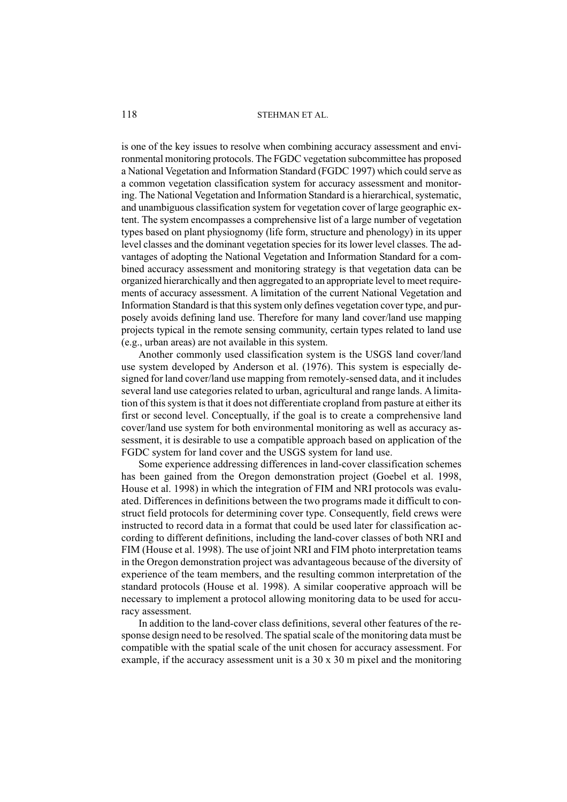is one of the key issues to resolve when combining accuracy assessment and environmental monitoring protocols. The FGDC vegetation subcommittee has proposed a National Vegetation and Information Standard (FGDC 1997) which could serve as a common vegetation classification system for accuracy assessment and monitoring. The National Vegetation and Information Standard is a hierarchical, systematic, and unambiguous classification system for vegetation cover of large geographic extent. The system encompasses a comprehensive list of a large number of vegetation types based on plant physiognomy (life form, structure and phenology) in its upper level classes and the dominant vegetation species for its lower level classes. The advantages of adopting the National Vegetation and Information Standard for a combined accuracy assessment and monitoring strategy is that vegetation data can be organized hierarchically and then aggregated to an appropriate level to meet requirements of accuracy assessment. A limitation of the current National Vegetation and Information Standard is that this system only defines vegetation cover type, and purposely avoids defining land use. Therefore for many land cover/land use mapping projects typical in the remote sensing community, certain types related to land use (e.g., urban areas) are not available in this system.

Another commonly used classification system is the USGS land cover/land use system developed by Anderson et al. (1976). This system is especially designed for land cover/land use mapping from remotely-sensed data, and it includes several land use categories related to urban, agricultural and range lands. A limitation of this system is that it does not differentiate cropland from pasture at either its first or second level. Conceptually, if the goal is to create a comprehensive land cover/land use system for both environmental monitoring as well as accuracy assessment, it is desirable to use a compatible approach based on application of the FGDC system for land cover and the USGS system for land use.

Some experience addressing differences in land-cover classification schemes has been gained from the Oregon demonstration project (Goebel et al. 1998, House et al. 1998) in which the integration of FIM and NRI protocols was evaluated. Differences in definitions between the two programs made it difficult to construct field protocols for determining cover type. Consequently, field crews were instructed to record data in a format that could be used later for classification according to different definitions, including the land-cover classes of both NRI and FIM (House et al. 1998). The use of joint NRI and FIM photo interpretation teams in the Oregon demonstration project was advantageous because of the diversity of experience of the team members, and the resulting common interpretation of the standard protocols (House et al. 1998). A similar cooperative approach will be necessary to implement a protocol allowing monitoring data to be used for accuracy assessment.

In addition to the land-cover class definitions, several other features of the response design need to be resolved. The spatial scale of the monitoring data must be compatible with the spatial scale of the unit chosen for accuracy assessment. For example, if the accuracy assessment unit is a 30 x 30 m pixel and the monitoring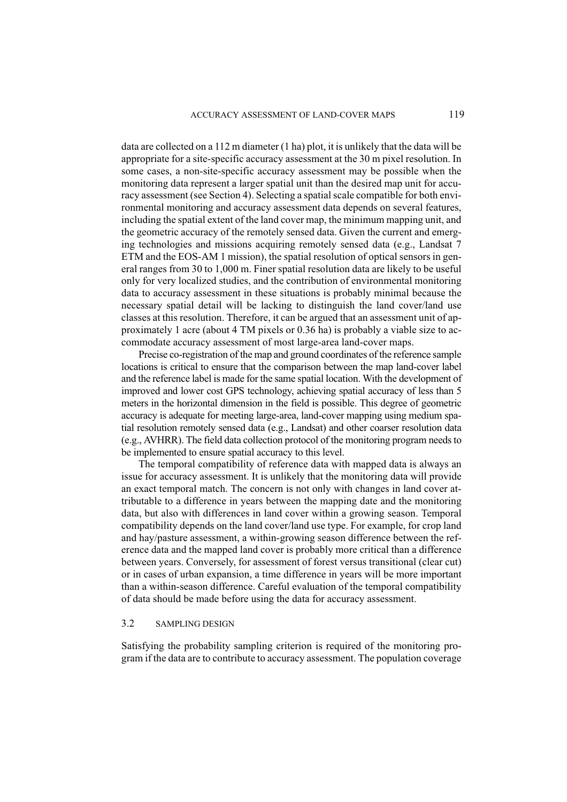data are collected on a 112 m diameter (1 ha) plot, it is unlikely that the data will be appropriate for a site-specific accuracy assessment at the 30 m pixel resolution. In some cases, a non-site-specific accuracy assessment may be possible when the monitoring data represent a larger spatial unit than the desired map unit for accuracy assessment (see Section 4). Selecting a spatial scale compatible for both environmental monitoring and accuracy assessment data depends on several features, including the spatial extent of the land cover map, the minimum mapping unit, and the geometric accuracy of the remotely sensed data. Given the current and emerging technologies and missions acquiring remotely sensed data (e.g., Landsat 7 ETM and the EOS-AM 1 mission), the spatial resolution of optical sensors in general ranges from 30 to 1,000 m. Finer spatial resolution data are likely to be useful only for very localized studies, and the contribution of environmental monitoring data to accuracy assessment in these situations is probably minimal because the necessary spatial detail will be lacking to distinguish the land cover/land use classes at this resolution. Therefore, it can be argued that an assessment unit of approximately 1 acre (about 4 TM pixels or 0.36 ha) is probably a viable size to accommodate accuracy assessment of most large-area land-cover maps.

Precise co-registration of the map and ground coordinates of the reference sample locations is critical to ensure that the comparison between the map land-cover label and the reference label is made for the same spatial location. With the development of improved and lower cost GPS technology, achieving spatial accuracy of less than 5 meters in the horizontal dimension in the field is possible. This degree of geometric accuracy is adequate for meeting large-area, land-cover mapping using medium spatial resolution remotely sensed data (e.g., Landsat) and other coarser resolution data (e.g., AVHRR). The field data collection protocol of the monitoring program needs to be implemented to ensure spatial accuracy to this level.

The temporal compatibility of reference data with mapped data is always an issue for accuracy assessment. It is unlikely that the monitoring data will provide an exact temporal match. The concern is not only with changes in land cover attributable to a difference in years between the mapping date and the monitoring data, but also with differences in land cover within a growing season. Temporal compatibility depends on the land cover/land use type. For example, for crop land and hay/pasture assessment, a within-growing season difference between the reference data and the mapped land cover is probably more critical than a difference between years. Conversely, for assessment of forest versus transitional (clear cut) or in cases of urban expansion, a time difference in years will be more important than a within-season difference. Careful evaluation of the temporal compatibility of data should be made before using the data for accuracy assessment.

# 3.2 SAMPLING DESIGN

Satisfying the probability sampling criterion is required of the monitoring program if the data are to contribute to accuracy assessment. The population coverage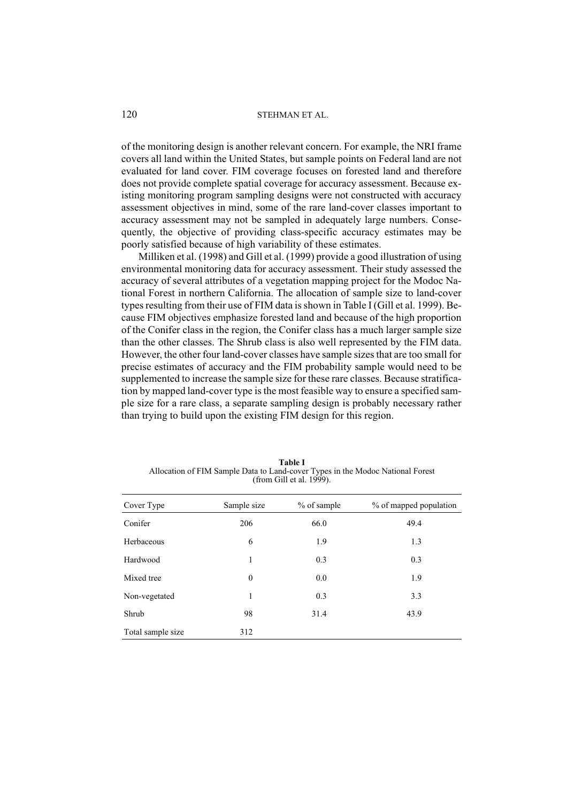of the monitoring design is another relevant concern. For example, the NRI frame covers all land within the United States, but sample points on Federal land are not evaluated for land cover. FIM coverage focuses on forested land and therefore does not provide complete spatial coverage for accuracy assessment. Because existing monitoring program sampling designs were not constructed with accuracy assessment objectives in mind, some of the rare land-cover classes important to accuracy assessment may not be sampled in adequately large numbers. Consequently, the objective of providing class-specific accuracy estimates may be poorly satisfied because of high variability of these estimates.

Milliken et al. (1998) and Gill et al. (1999) provide a good illustration of using environmental monitoring data for accuracy assessment. Their study assessed the accuracy of several attributes of a vegetation mapping project for the Modoc National Forest in northern California. The allocation of sample size to land-cover types resulting from their use of FIM data is shown in Table I (Gill et al. 1999). Because FIM objectives emphasize forested land and because of the high proportion of the Conifer class in the region, the Conifer class has a much larger sample size than the other classes. The Shrub class is also well represented by the FIM data. However, the other four land-cover classes have sample sizes that are too small for precise estimates of accuracy and the FIM probability sample would need to be supplemented to increase the sample size for these rare classes. Because stratification by mapped land-cover type is the most feasible way to ensure a specified sample size for a rare class, a separate sampling design is probably necessary rather than trying to build upon the existing FIM design for this region.

| Cover Type        | Sample size  | $%$ of sample | % of mapped population |
|-------------------|--------------|---------------|------------------------|
| Conifer           | 206          | 66.0          | 49.4                   |
| Herbaceous        | 6            | 1.9           | 1.3                    |
| Hardwood          | 1            | 0.3           | 0.3                    |
| Mixed tree        | $\mathbf{0}$ | 0.0           | 1.9                    |
| Non-vegetated     | 1            | 0.3           | 3.3                    |
| Shrub             | 98           | 31.4          | 43.9                   |
| Total sample size | 312          |               |                        |

**Table I** Allocation of FIM Sample Data to Land-cover Types in the Modoc National Forest (from Gill et al. 1999).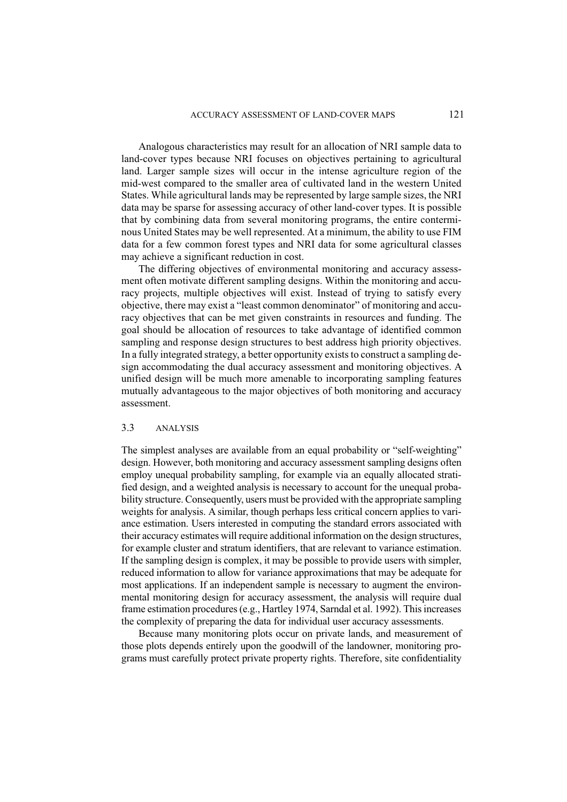Analogous characteristics may result for an allocation of NRI sample data to land-cover types because NRI focuses on objectives pertaining to agricultural land. Larger sample sizes will occur in the intense agriculture region of the mid-west compared to the smaller area of cultivated land in the western United States. While agricultural lands may be represented by large sample sizes, the NRI data may be sparse for assessing accuracy of other land-cover types. It is possible that by combining data from several monitoring programs, the entire conterminous United States may be well represented. At a minimum, the ability to use FIM data for a few common forest types and NRI data for some agricultural classes may achieve a significant reduction in cost.

The differing objectives of environmental monitoring and accuracy assessment often motivate different sampling designs. Within the monitoring and accuracy projects, multiple objectives will exist. Instead of trying to satisfy every objective, there may exist a "least common denominator" of monitoring and accuracy objectives that can be met given constraints in resources and funding. The goal should be allocation of resources to take advantage of identified common sampling and response design structures to best address high priority objectives. In a fully integrated strategy, a better opportunity exists to construct a sampling design accommodating the dual accuracy assessment and monitoring objectives. A unified design will be much more amenable to incorporating sampling features mutually advantageous to the major objectives of both monitoring and accuracy assessment.

### 3.3 ANALYSIS

The simplest analyses are available from an equal probability or "self-weighting" design. However, both monitoring and accuracy assessment sampling designs often employ unequal probability sampling, for example via an equally allocated stratified design, and a weighted analysis is necessary to account for the unequal probability structure. Consequently, users must be provided with the appropriate sampling weights for analysis. A similar, though perhaps less critical concern applies to variance estimation. Users interested in computing the standard errors associated with their accuracy estimates will require additional information on the design structures, for example cluster and stratum identifiers, that are relevant to variance estimation. If the sampling design is complex, it may be possible to provide users with simpler, reduced information to allow for variance approximations that may be adequate for most applications. If an independent sample is necessary to augment the environmental monitoring design for accuracy assessment, the analysis will require dual frame estimation procedures (e.g., Hartley 1974, Sarndal et al. 1992). This increases the complexity of preparing the data for individual user accuracy assessments.

Because many monitoring plots occur on private lands, and measurement of those plots depends entirely upon the goodwill of the landowner, monitoring programs must carefully protect private property rights. Therefore, site confidentiality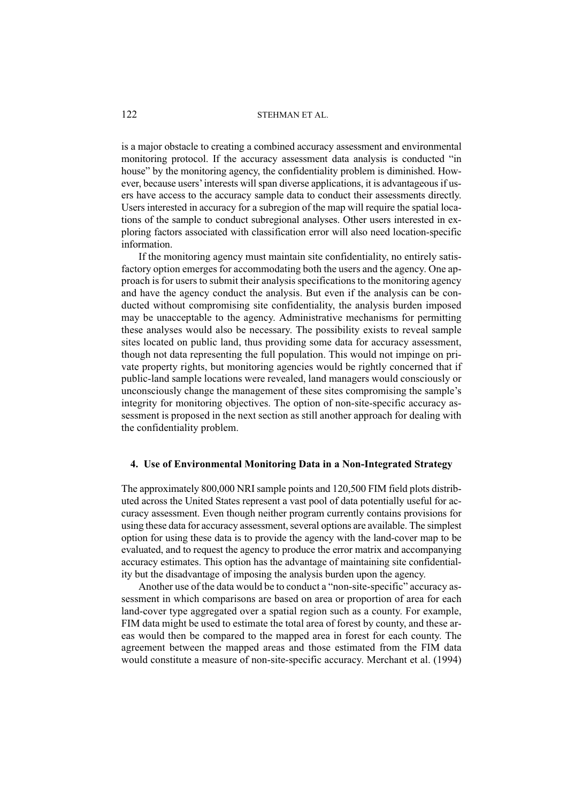is a major obstacle to creating a combined accuracy assessment and environmental monitoring protocol. If the accuracy assessment data analysis is conducted "in house" by the monitoring agency, the confidentiality problem is diminished. However, because users'interests will span diverse applications, it is advantageous if users have access to the accuracy sample data to conduct their assessments directly. Users interested in accuracy for a subregion of the map will require the spatial locations of the sample to conduct subregional analyses. Other users interested in exploring factors associated with classification error will also need location-specific information.

If the monitoring agency must maintain site confidentiality, no entirely satisfactory option emerges for accommodating both the users and the agency. One approach is for users to submit their analysis specifications to the monitoring agency and have the agency conduct the analysis. But even if the analysis can be conducted without compromising site confidentiality, the analysis burden imposed may be unacceptable to the agency. Administrative mechanisms for permitting these analyses would also be necessary. The possibility exists to reveal sample sites located on public land, thus providing some data for accuracy assessment, though not data representing the full population. This would not impinge on private property rights, but monitoring agencies would be rightly concerned that if public-land sample locations were revealed, land managers would consciously or unconsciously change the management of these sites compromising the sample's integrity for monitoring objectives. The option of non-site-specific accuracy assessment is proposed in the next section as still another approach for dealing with the confidentiality problem.

#### **4. Use of Environmental Monitoring Data in a Non-Integrated Strategy**

The approximately 800,000 NRI sample points and 120,500 FIM field plots distributed across the United States represent a vast pool of data potentially useful for accuracy assessment. Even though neither program currently contains provisions for using these data for accuracy assessment, several options are available. The simplest option for using these data is to provide the agency with the land-cover map to be evaluated, and to request the agency to produce the error matrix and accompanying accuracy estimates. This option has the advantage of maintaining site confidentiality but the disadvantage of imposing the analysis burden upon the agency.

Another use of the data would be to conduct a "non-site-specific" accuracy assessment in which comparisons are based on area or proportion of area for each land-cover type aggregated over a spatial region such as a county. For example, FIM data might be used to estimate the total area of forest by county, and these areas would then be compared to the mapped area in forest for each county. The agreement between the mapped areas and those estimated from the FIM data would constitute a measure of non-site-specific accuracy. Merchant et al. (1994)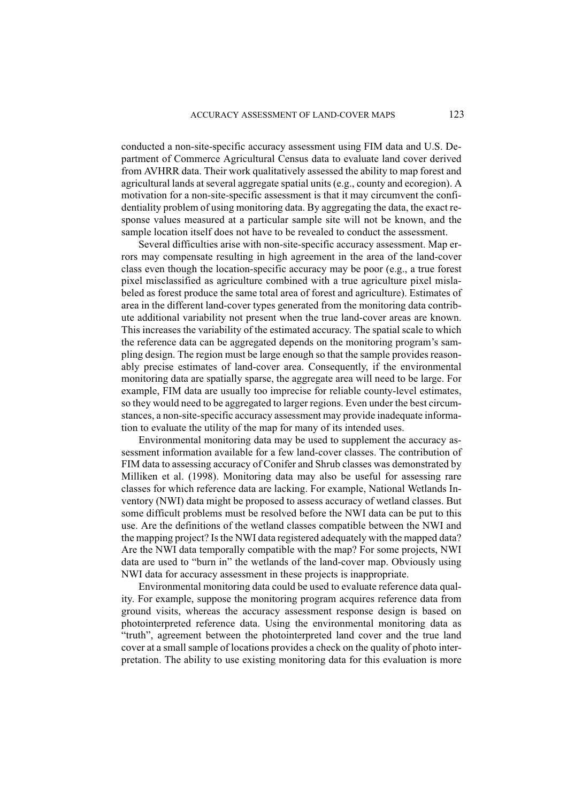conducted a non-site-specific accuracy assessment using FIM data and U.S. Department of Commerce Agricultural Census data to evaluate land cover derived from AVHRR data. Their work qualitatively assessed the ability to map forest and agricultural lands at several aggregate spatial units (e.g., county and ecoregion). A motivation for a non-site-specific assessment is that it may circumvent the confidentiality problem of using monitoring data. By aggregating the data, the exact response values measured at a particular sample site will not be known, and the sample location itself does not have to be revealed to conduct the assessment.

Several difficulties arise with non-site-specific accuracy assessment. Map errors may compensate resulting in high agreement in the area of the land-cover class even though the location-specific accuracy may be poor (e.g., a true forest pixel misclassified as agriculture combined with a true agriculture pixel mislabeled as forest produce the same total area of forest and agriculture). Estimates of area in the different land-cover types generated from the monitoring data contribute additional variability not present when the true land-cover areas are known. This increases the variability of the estimated accuracy. The spatial scale to which the reference data can be aggregated depends on the monitoring program's sampling design. The region must be large enough so that the sample provides reasonably precise estimates of land-cover area. Consequently, if the environmental monitoring data are spatially sparse, the aggregate area will need to be large. For example, FIM data are usually too imprecise for reliable county-level estimates, so they would need to be aggregated to larger regions. Even under the best circumstances, a non-site-specific accuracy assessment may provide inadequate information to evaluate the utility of the map for many of its intended uses.

Environmental monitoring data may be used to supplement the accuracy assessment information available for a few land-cover classes. The contribution of FIM data to assessing accuracy of Conifer and Shrub classes was demonstrated by Milliken et al. (1998). Monitoring data may also be useful for assessing rare classes for which reference data are lacking. For example, National Wetlands Inventory (NWI) data might be proposed to assess accuracy of wetland classes. But some difficult problems must be resolved before the NWI data can be put to this use. Are the definitions of the wetland classes compatible between the NWI and the mapping project? Is the NWI data registered adequately with the mapped data? Are the NWI data temporally compatible with the map? For some projects, NWI data are used to "burn in" the wetlands of the land-cover map. Obviously using NWI data for accuracy assessment in these projects is inappropriate.

Environmental monitoring data could be used to evaluate reference data quality. For example, suppose the monitoring program acquires reference data from ground visits, whereas the accuracy assessment response design is based on photointerpreted reference data. Using the environmental monitoring data as "truth", agreement between the photointerpreted land cover and the true land cover at a small sample of locations provides a check on the quality of photo interpretation. The ability to use existing monitoring data for this evaluation is more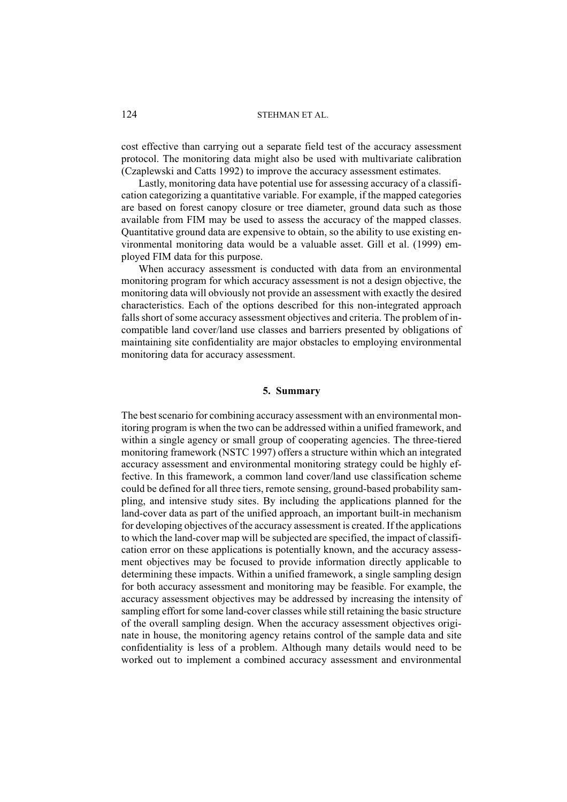cost effective than carrying out a separate field test of the accuracy assessment protocol. The monitoring data might also be used with multivariate calibration (Czaplewski and Catts 1992) to improve the accuracy assessment estimates.

Lastly, monitoring data have potential use for assessing accuracy of a classification categorizing a quantitative variable. For example, if the mapped categories are based on forest canopy closure or tree diameter, ground data such as those available from FIM may be used to assess the accuracy of the mapped classes. Quantitative ground data are expensive to obtain, so the ability to use existing environmental monitoring data would be a valuable asset. Gill et al. (1999) employed FIM data for this purpose.

When accuracy assessment is conducted with data from an environmental monitoring program for which accuracy assessment is not a design objective, the monitoring data will obviously not provide an assessment with exactly the desired characteristics. Each of the options described for this non-integrated approach falls short of some accuracy assessment objectives and criteria. The problem of incompatible land cover/land use classes and barriers presented by obligations of maintaining site confidentiality are major obstacles to employing environmental monitoring data for accuracy assessment.

# **5. Summary**

The best scenario for combining accuracy assessment with an environmental monitoring program is when the two can be addressed within a unified framework, and within a single agency or small group of cooperating agencies. The three-tiered monitoring framework (NSTC 1997) offers a structure within which an integrated accuracy assessment and environmental monitoring strategy could be highly effective. In this framework, a common land cover/land use classification scheme could be defined for all three tiers, remote sensing, ground-based probability sampling, and intensive study sites. By including the applications planned for the land-cover data as part of the unified approach, an important built-in mechanism for developing objectives of the accuracy assessment is created. If the applications to which the land-cover map will be subjected are specified, the impact of classification error on these applications is potentially known, and the accuracy assessment objectives may be focused to provide information directly applicable to determining these impacts. Within a unified framework, a single sampling design for both accuracy assessment and monitoring may be feasible. For example, the accuracy assessment objectives may be addressed by increasing the intensity of sampling effort for some land-cover classes while still retaining the basic structure of the overall sampling design. When the accuracy assessment objectives originate in house, the monitoring agency retains control of the sample data and site confidentiality is less of a problem. Although many details would need to be worked out to implement a combined accuracy assessment and environmental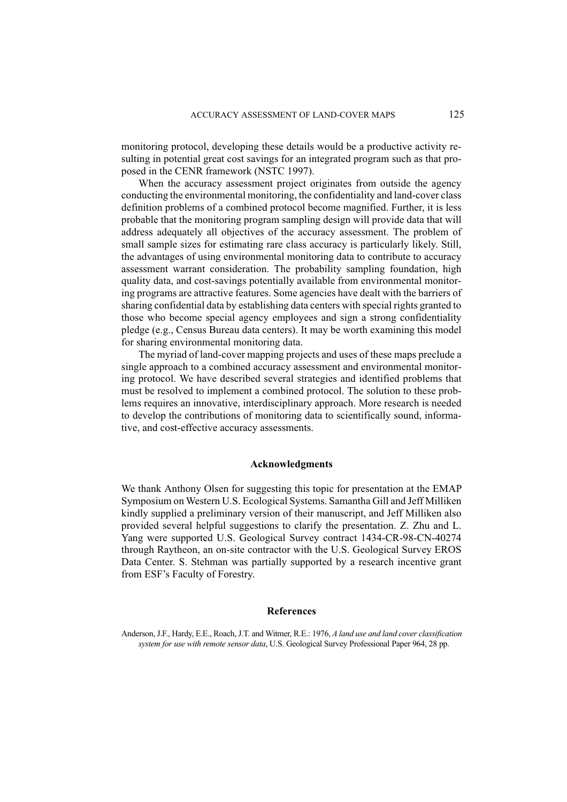monitoring protocol, developing these details would be a productive activity resulting in potential great cost savings for an integrated program such as that proposed in the CENR framework (NSTC 1997).

When the accuracy assessment project originates from outside the agency conducting the environmental monitoring, the confidentiality and land-cover class definition problems of a combined protocol become magnified. Further, it is less probable that the monitoring program sampling design will provide data that will address adequately all objectives of the accuracy assessment. The problem of small sample sizes for estimating rare class accuracy is particularly likely. Still, the advantages of using environmental monitoring data to contribute to accuracy assessment warrant consideration. The probability sampling foundation, high quality data, and cost-savings potentially available from environmental monitoring programs are attractive features. Some agencies have dealt with the barriers of sharing confidential data by establishing data centers with special rights granted to those who become special agency employees and sign a strong confidentiality pledge (e.g., Census Bureau data centers). It may be worth examining this model for sharing environmental monitoring data.

The myriad of land-cover mapping projects and uses of these maps preclude a single approach to a combined accuracy assessment and environmental monitoring protocol. We have described several strategies and identified problems that must be resolved to implement a combined protocol. The solution to these problems requires an innovative, interdisciplinary approach. More research is needed to develop the contributions of monitoring data to scientifically sound, informative, and cost-effective accuracy assessments.

### **Acknowledgments**

We thank Anthony Olsen for suggesting this topic for presentation at the EMAP Symposium on Western U.S. Ecological Systems. Samantha Gill and Jeff Milliken kindly supplied a preliminary version of their manuscript, and Jeff Milliken also provided several helpful suggestions to clarify the presentation. Z. Zhu and L. Yang were supported U.S. Geological Survey contract 1434-CR-98-CN-40274 through Raytheon, an on-site contractor with the U.S. Geological Survey EROS Data Center. S. Stehman was partially supported by a research incentive grant from ESF's Faculty of Forestry.

#### **References**

Anderson, J.F., Hardy, E.E., Roach, J.T. and Witmer, R.E.: 1976, *A land use and land cover classification system for use with remote sensor data*, U.S. Geological Survey Professional Paper 964, 28 pp.